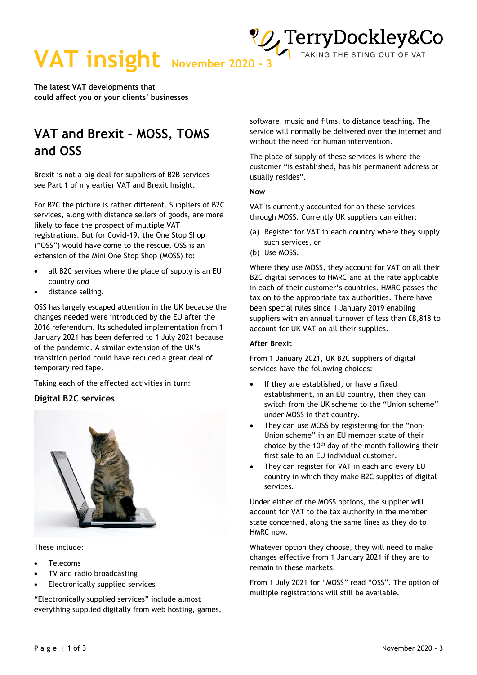**VAT insight November 2020 - 3**<br>WAT insight **November 2020 - 3** 

**The latest VAT developments that could affect you or your clients' businesses** 

# **VAT and Brexit – MOSS, TOMS and OSS**

Brexit is not a big deal for suppliers of B2B services – see Part 1 of my earlier VAT and Brexit Insight.

For B2C the picture is rather different. Suppliers of B2C services, along with distance sellers of goods, are more likely to face the prospect of multiple VAT registrations. But for Covid-19, the One Stop Shop ("OSS") would have come to the rescue. OSS is an extension of the Mini One Stop Shop (MOSS) to:

- all B2C services where the place of supply is an EU country *and*
- distance selling.

OSS has largely escaped attention in the UK because the changes needed were introduced by the EU after the 2016 referendum. Its scheduled implementation from 1 January 2021 has been deferred to 1 July 2021 because of the pandemic. A similar extension of the UK's transition period could have reduced a great deal of temporary red tape.

Taking each of the affected activities in turn:

## **Digital B2C services**



These include:

- **Telecoms**
- TV and radio broadcasting
- Electronically supplied services

"Electronically supplied services" include almost everything supplied digitally from web hosting, games, software, music and films, to distance teaching. The service will normally be delivered over the internet and without the need for human intervention.

TAKING THE STING OUT OF VAT

The place of supply of these services is where the customer "is established, has his permanent address or usually resides".

**Now**

VAT is currently accounted for on these services through MOSS. Currently UK suppliers can either:

- (a) Register for VAT in each country where they supply such services, or
- (b) Use MOSS.

Where they use MOSS, they account for VAT on all their B2C digital services to HMRC and at the rate applicable in each of their customer's countries. HMRC passes the tax on to the appropriate tax authorities. There have been special rules since 1 January 2019 enabling suppliers with an annual turnover of less than £8,818 to account for UK VAT on all their supplies.

#### **After Brexit**

From 1 January 2021, UK B2C suppliers of digital services have the following choices:

- If they are established, or have a fixed establishment, in an EU country, then they can switch from the UK scheme to the "Union scheme" under MOSS in that country.
- They can use MOSS by registering for the "non-Union scheme" in an EU member state of their choice by the 10th day of the month following their first sale to an EU individual customer.
- They can register for VAT in each and every EU country in which they make B2C supplies of digital services.

Under either of the MOSS options, the supplier will account for VAT to the tax authority in the member state concerned, along the same lines as they do to HMRC now.

Whatever option they choose, they will need to make changes effective from 1 January 2021 if they are to remain in these markets.

From 1 July 2021 for "MOSS" read "OSS". The option of multiple registrations will still be available.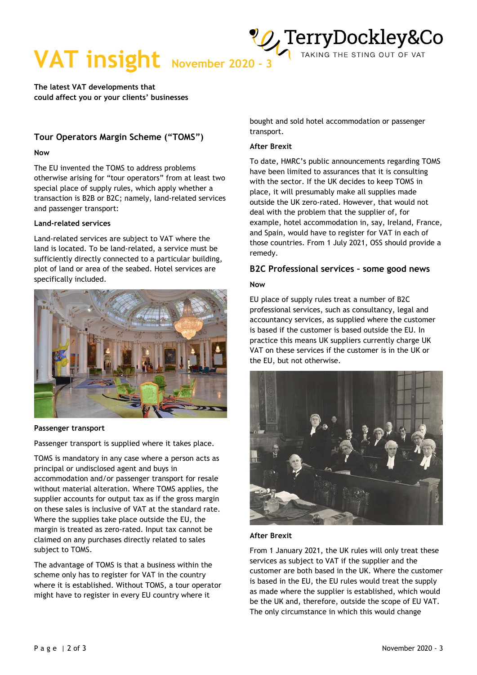# **VAT insight November 2020 - 3**<br>WAT insight **November 2020 - 3**

**The latest VAT developments that could affect you or your clients' businesses** 

## **Tour Operators Margin Scheme ("TOMS")**

#### **Now**

The EU invented the TOMS to address problems otherwise arising for "tour operators" from at least two special place of supply rules, which apply whether a transaction is B2B or B2C; namely, land-related services and passenger transport:

#### **Land-related services**

Land-related services are subject to VAT where the land is located. To be land-related, a service must be sufficiently directly connected to a particular building, plot of land or area of the seabed. Hotel services are specifically included.



#### **Passenger transport**

Passenger transport is supplied where it takes place.

TOMS is mandatory in any case where a person acts as principal or undisclosed agent and buys in accommodation and/or passenger transport for resale without material alteration. Where TOMS applies, the supplier accounts for output tax as if the gross margin on these sales is inclusive of VAT at the standard rate. Where the supplies take place outside the EU, the margin is treated as zero-rated. Input tax cannot be claimed on any purchases directly related to sales subject to TOMS.

The advantage of TOMS is that a business within the scheme only has to register for VAT in the country where it is established. Without TOMS, a tour operator might have to register in every EU country where it

bought and sold hotel accommodation or passenger transport.

TAKING THE STING OUT OF VAT

#### **After Brexit**

To date, HMRC's public announcements regarding TOMS have been limited to assurances that it is consulting with the sector. If the UK decides to keep TOMS in place, it will presumably make all supplies made outside the UK zero-rated. However, that would not deal with the problem that the supplier of, for example, hotel accommodation in, say, Ireland, France, and Spain, would have to register for VAT in each of those countries. From 1 July 2021, OSS should provide a remedy.

#### **B2C Professional services – some good news**

#### **Now**

EU place of supply rules treat a number of B2C professional services, such as consultancy, legal and accountancy services, as supplied where the customer is based if the customer is based outside the EU. In practice this means UK suppliers currently charge UK VAT on these services if the customer is in the UK or the EU, but not otherwise.



#### **After Brexit**

From 1 January 2021, the UK rules will only treat these services as subject to VAT if the supplier and the customer are both based in the UK. Where the customer is based in the EU, the EU rules would treat the supply as made where the supplier is established, which would be the UK and, therefore, outside the scope of EU VAT. The only circumstance in which this would change